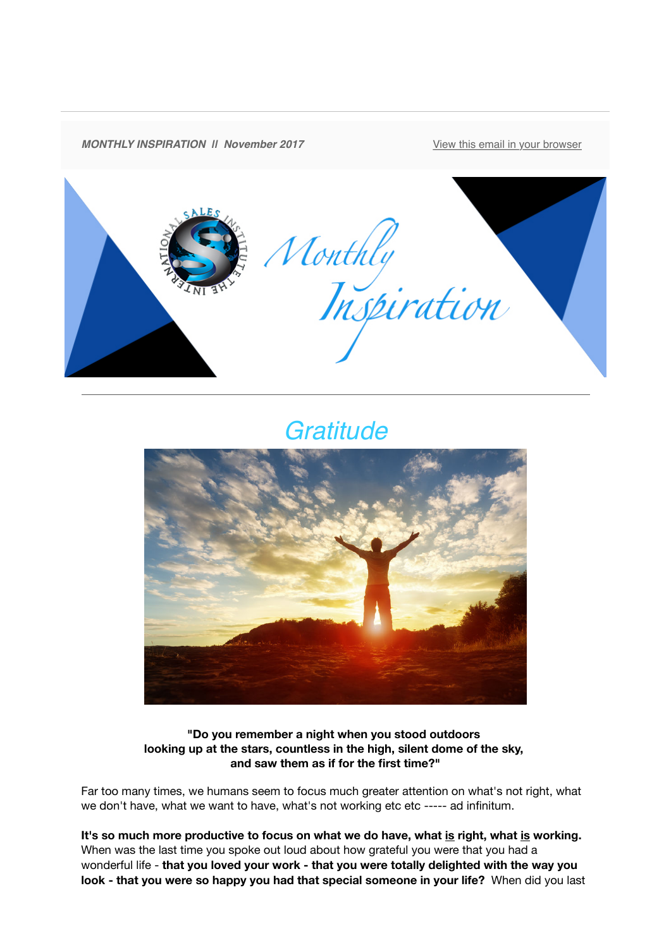

## *Gratitude*



**"Do you remember a night when you stood outdoors looking up at the stars, countless in the high, silent dome of the sky, and saw them as if for the first time?"**

Far too many times, we humans seem to focus much greater attention on what's not right, what we don't have, what we want to have, what's not working etc etc ----- ad infinitum.

**It's so much more productive to focus on what we do have, what is right, what is working.** When was the last time you spoke out loud about how grateful you were that you had a wonderful life - **that you loved your work - that you were totally delighted with the way you look - that you were so happy you had that special someone in your life?** When did you last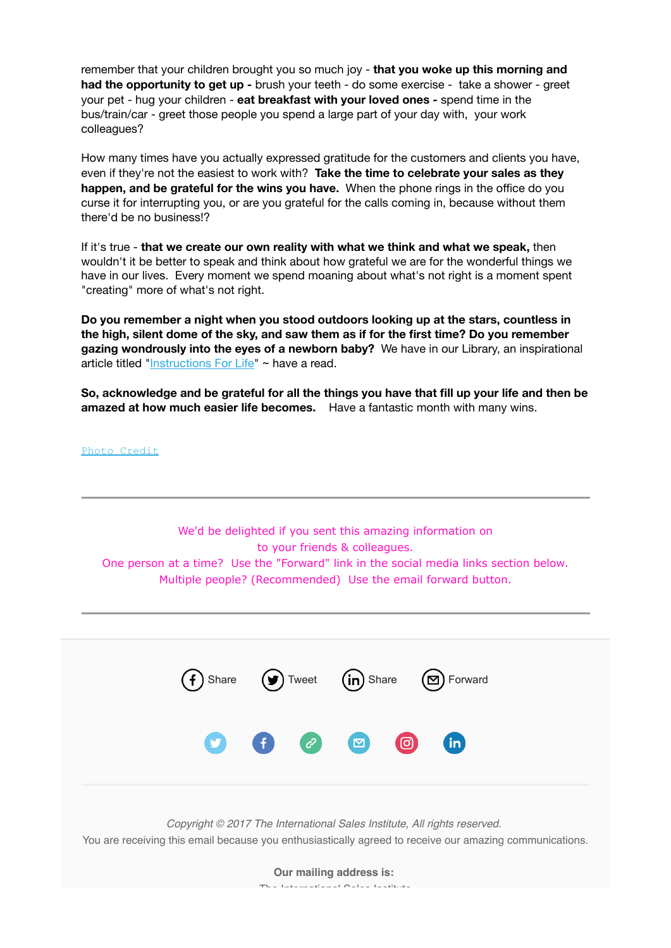remember that your children brought you so much joy - **that you woke up this morning and had the opportunity to get up -** brush your teeth - do some exercise - take a shower - greet your pet - hug your children - **eat breakfast with your loved ones -** spend time in the bus/train/car - greet those people you spend a large part of your day with, your work colleagues?

How many times have you actually expressed gratitude for the customers and clients you have, even if they're not the easiest to work with? **Take the time to celebrate your sales as they happen, and be grateful for the wins you have.** When the phone rings in the office do you curse it for interrupting you, or are you grateful for the calls coming in, because without them there'd be no business!?

If it's true - **that we create our own reality with what we think and what we speak,** then wouldn't it be better to speak and think about how grateful we are for the wonderful things we have in our lives. Every moment we spend moaning about what's not right is a moment spent "creating" more of what's not right.

**Do you remember a night when you stood outdoors looking up at the stars, countless in the high, silent dome of the sky, and saw them as if for the first time? Do you remember gazing wondrously into the eyes of a newborn baby?** We have in our Library, an inspirational article titled ["Instructions For Life](https://theinternationalsalesinstitute.us11.list-manage.com/track/click?u=933b80e7a2e18bb216f31e81e&id=1e019b62d8&e=dbf1c93ab8)" ~ have a read.

**So, acknowledge and be grateful for all the things you have that fill up your life and then be amazed at how much easier life becomes.** Have a fantastic month with many wins.

[Photo Credit](https://theinternationalsalesinstitute.us11.list-manage.com/track/click?u=933b80e7a2e18bb216f31e81e&id=d33c1bb7a8&e=dbf1c93ab8) We'd be delighted if you sent this amazing information on to your friends & colleagues. One person at a time? Use the "Forward" link in the social media links section below. Multiple people? (Recommended) Use the email forward button. [Share](https://theinternationalsalesinstitute.us11.list-manage.com/track/click?u=933b80e7a2e18bb216f31e81e&id=1b7c3b8ee6&e=dbf1c93ab8)  $(\mathcal{Y})$  [Tweet](https://theinternationalsalesinstitute.us11.list-manage.com/track/click?u=933b80e7a2e18bb216f31e81e&id=7ef0bc98ed&e=dbf1c93ab8)  $(\mathsf{in})$  Share  $(\mathfrak{S})$  [Forward](http://us11.forward-to-friend.com/forward?u=933b80e7a2e18bb216f31e81e&id=38949b8c3e&e=dbf1c93ab8) *Copyright © 2017 The International Sales Institute, All rights reserved.* You are receiving this email because you enthusiastically agreed to receive our amazing communications.

**Our mailing address is:**

The International Sales Institute